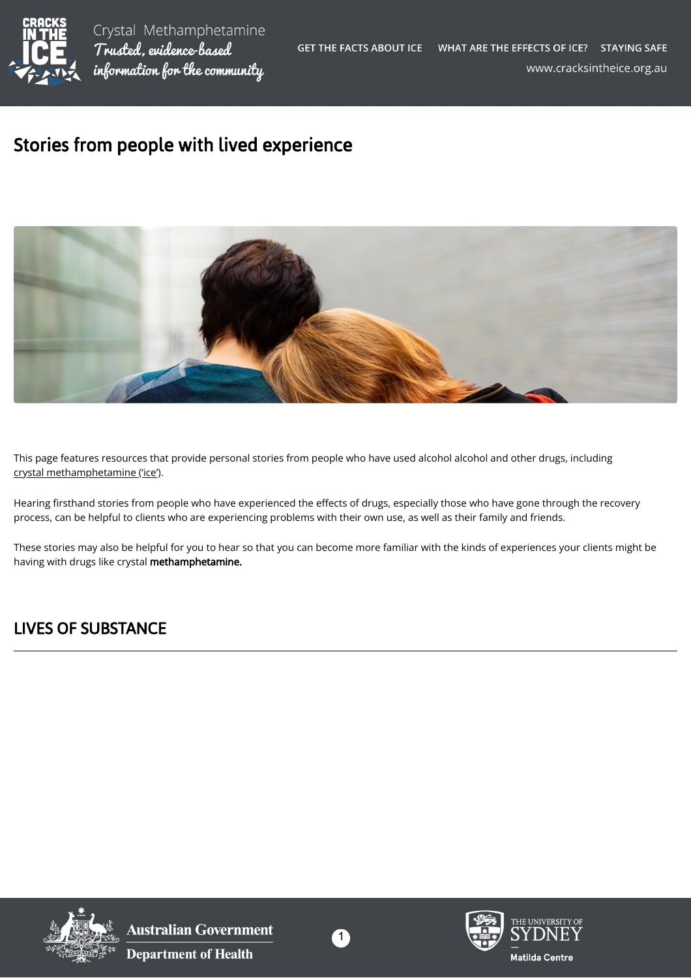

## Stories from people with lived experience



This page features resources that provide personal stories from people who have used alcohol alcohol and other drugs, including [crystal methamphetamine \('ice'\).](https://cracksintheice.org.au/what-is-ice)

Hearing firsthand stories from people who have experienced the effects of drugs, especially those who have gone through the recovery process, can be helpful to clients who are experiencing problems with their own use, as well as their family and friends.

These stories may also be helpful for you to hear so that you can become more familiar with the kinds of experiences your clients might be having with drugs like crystal methamphetamine.

## LIVES OF SUBSTANCE



**Australian Government Department of Health** 



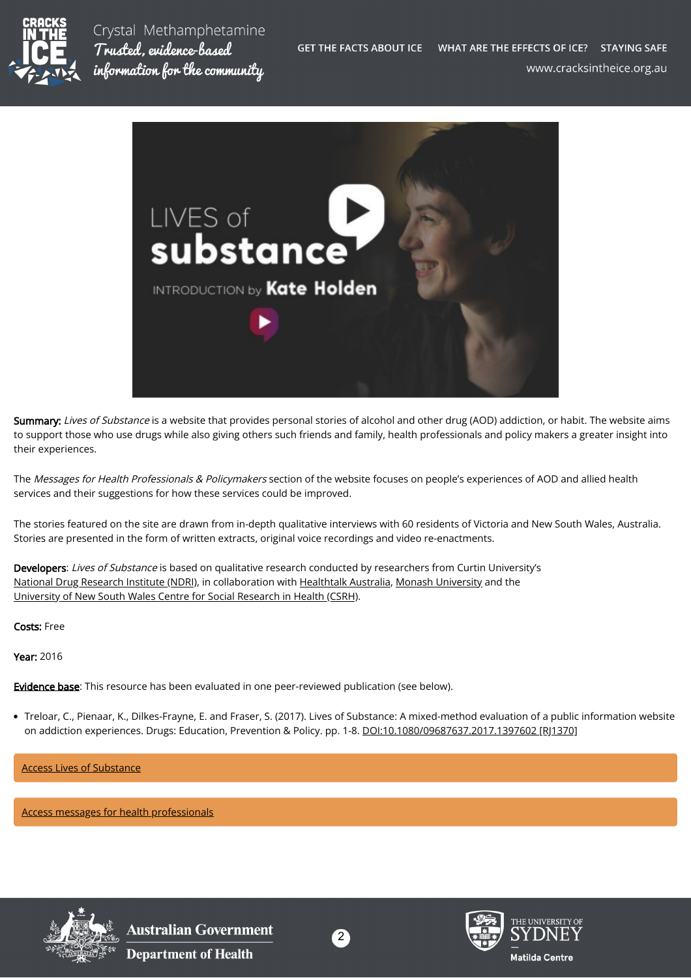

Crystal Methamphetamine Trusted, evidence-based information for the community



Summary: Lives of Substance is a website that provides personal stories of alcohol and other drug (AOD) addiction, or habit. The website aims to support those who use drugs while also giving others such friends and family, health professionals and policy makers a greater insight into their experiences.

The Messages for Health Professionals & Policymakers section of the website focuses on people's experiences of AOD and allied health services and their suggestions for how these services could be improved.

The stories featured on the site are drawn from in-depth qualitative interviews with 60 residents of Victoria and New South Wales, Australia. Stories are presented in the form of written extracts, original voice recordings and video re-enactments.

Developers: Lives of Substance is based on qualitative research conducted by researchers from Curtin University's [National Drug Research Institute \(NDRI\),](http://ndri.curtin.edu.au/home) in collaboration with [Healthtalk Australia](http://healthtalkaustralia.org/), [Monash University](https://www.monash.edu/) and the [University of New South Wales Centre for Social Research in Health \(CSRH\)](https://csrh.arts.unsw.edu.au/).

Costs: Free

Year: 2016

**Evidence base**: This resource has been evaluated in one peer-reviewed publication (see below).

Treloar, C., Pienaar, K., Dilkes-Frayne, E. and Fraser, S. (2017). Lives of Substance: A mixed-method evaluation of a public information website on addiction experiences. Drugs: Education, Prevention & Policy. pp. 1-8. [DOI:10.1080/09687637.2017.1397602 \[RJ1370\]](https://doi.org/10.1080/09687637.2017.1397602)

[Access Lives of Substance](http://www.livesofsubstance.org/)

[Access messages for health professionals](http://www.livesofsubstance.org/topics/advice-messages-to-others/health-professionals-policymakers/)



**Australian Government Department of Health**